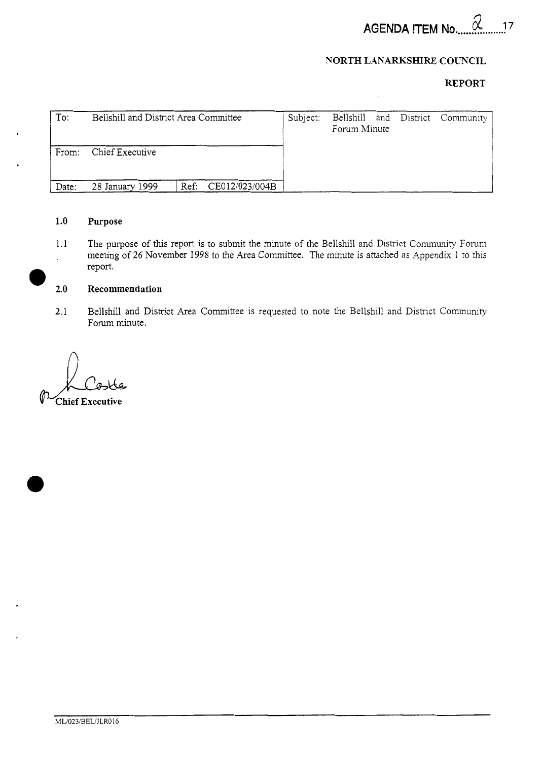**AGENDA** *d* <sup>17</sup>**ITEM No** ...................

# **NORTH LANARKSHIRE COUNCIL**

# **REPORT**

| To:   | Bellshill and District Area Committee  | Subject: | Bellshill and District Community<br>Forum Minute |  |
|-------|----------------------------------------|----------|--------------------------------------------------|--|
| From: | Chief Executive                        |          |                                                  |  |
| Date: | Ref: CE012/023/004B<br>28 January 1999 |          |                                                  |  |

# **1.0** Purpose

1.1 The purpose of this report is to submit the minute of the Bellshill and District Community Forum meeting of 26 November 1998 to the Area Committee. The minute is attached as Appendix 1 to this report. *0* **2.0** Recommendation

2.1 Bellshill and District Area Committee is requested to note the Bellshill and District Community Forum minute.

 $\bigcap$ .<br>Chief Executive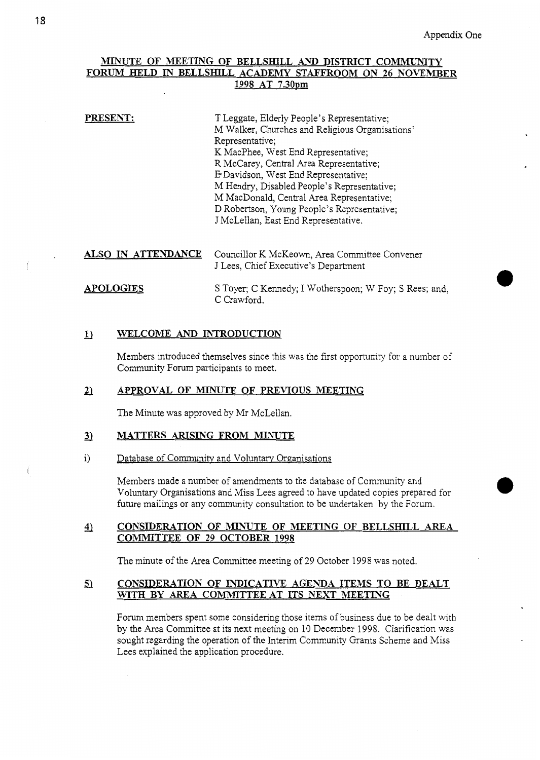# **MINUTE OF MEETING OF BELLSHILL** AND **DISTRICT COMMUNITY FORUM HELD IN BELLSHILL ACADEMY STAFFROOM ON 26 NOVEMBER 1998 AT 7.30~m**

**PRESENT:** T Leggate, Elderly People's Representative; M Walker, Churches and Religious Organisations' Representative; K MacPhee, West End Representative; R McCarey, Central Area Representative; E=Davidson, West End Representative; M Hendry, Disabled People's Representative; M MacDonald, Central Area Representative; D Robertson, Young People's Representative; J McLellan, East End Representative.

*ALSO* **IN ATTENDANCE** Councillor K McKeown, Area Committee Convener J Lees, Chief Executive's Department

*S* Thes, Chief Executive's Department<br> **APOLOGIES** S Toyer; C Kennedy; I Wotherspoon; W Foy; S Rees; and, C Crawford.

### lJ **WELCOME** *AND* **INTRODUCTION**

Members introduced themselves since this was the first opportunity for a number of Community Forum participants to meet.

### *2J* **APPROVAL OF MINUTE OF PREVIOUS MEETING**

The Minute was approved by Mr McLellan.

# *3J* **MATTERS AFUSING FROM MINUTE**

i) Database of Community and Voluntary Organisations

Members made a number of amendments to the database of Community and Voluntary Organisations and Miss Lees agreed to have updated copies prepared for future mailings or any community consultation to be undertaken by the Forum.

# 4) **CONSIDERATION OF MINUTE OF MEETING OF BELLSHILL AREA COMMITTEE OF 29 OCTOBER 1998**

The minute of the Area Committee meeting of 29 October 1998 was noted.

## **9 CONSIDERATION OF INDICATIVE AGENDA ITEMS TO BE DEALT WITH BY AREA COMMITTEEAT ITS NEXT MEETIXG**

Forum members spent some considering those items of business due to be dealt with by the Area Committee at its next meeting on 10 December 1998. Clarification was sought regarding the operation of the Interim Community Grants Scheme and Miss Lees explained the application procedure.